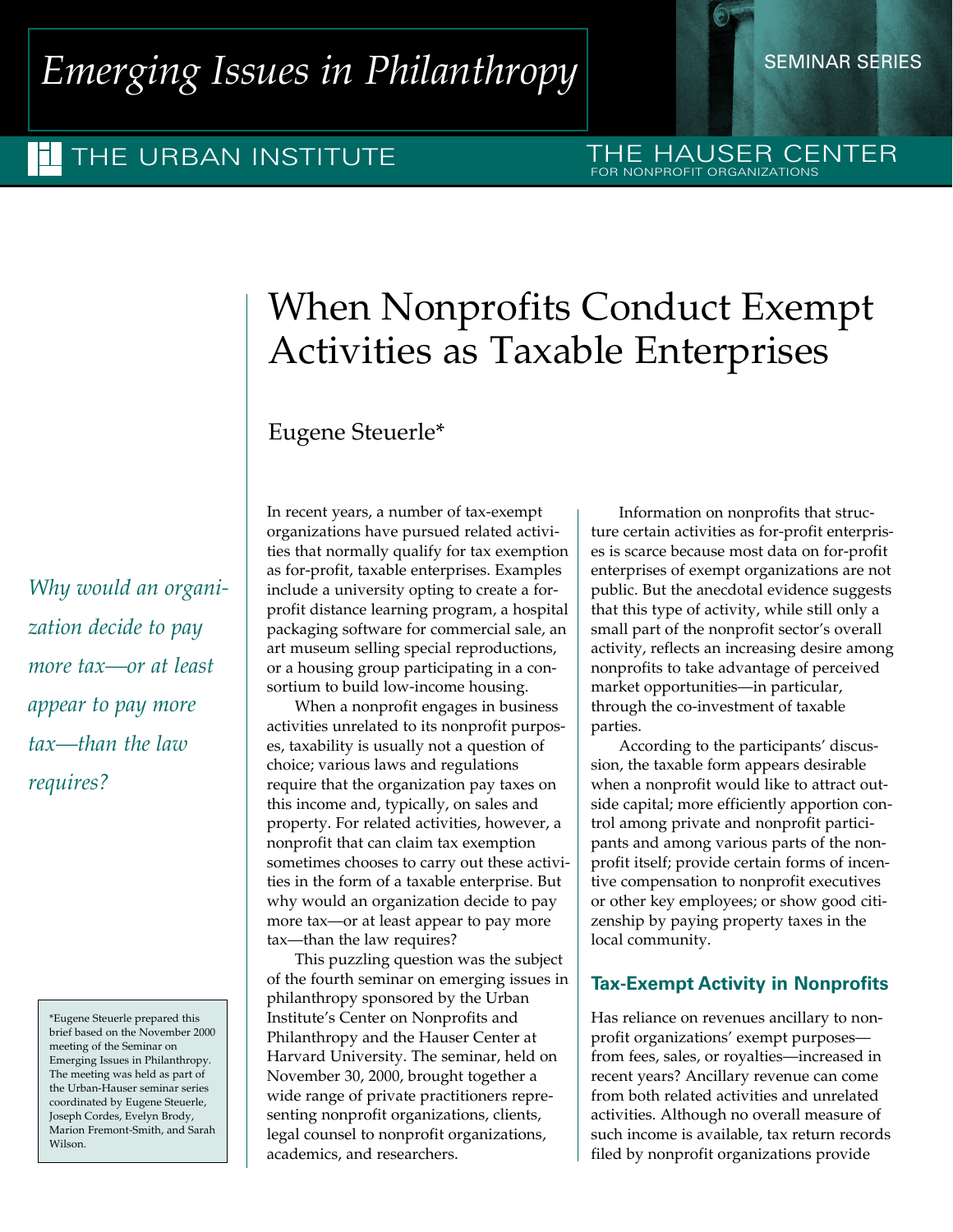# *Emerging Issues in Philanthropy*

### THE URBAN INSTITUTE

#### THE HAUSER CENTER FOR NONPROFIT ORGANIZATIONS

## When Nonprofits Conduct Exempt Activities as Taxable Enterprises

### Eugene Steuerle\*

*Why would an organization decide to pay more tax—or at least appear to pay more tax—than the law requires?*

> \*Eugene Steuerle prepared this brief based on the November 2000 meeting of the Seminar on Emerging Issues in Philanthropy. The meeting was held as part of the Urban-Hauser seminar series coordinated by Eugene Steuerle, Joseph Cordes, Evelyn Brody, Marion Fremont-Smith, and Sarah Wilson.

In recent years, a number of tax-exempt organizations have pursued related activities that normally qualify for tax exemption as for-profit, taxable enterprises. Examples include a university opting to create a forprofit distance learning program, a hospital packaging software for commercial sale, an art museum selling special reproductions, or a housing group participating in a consortium to build low-income housing.

When a nonprofit engages in business activities unrelated to its nonprofit purposes, taxability is usually not a question of choice; various laws and regulations require that the organization pay taxes on this income and, typically, on sales and property. For related activities, however, a nonprofit that can claim tax exemption sometimes chooses to carry out these activities in the form of a taxable enterprise. But why would an organization decide to pay more tax—or at least appear to pay more tax—than the law requires?

This puzzling question was the subject of the fourth seminar on emerging issues in philanthropy sponsored by the Urban Institute's Center on Nonprofits and Philanthropy and the Hauser Center at Harvard University. The seminar, held on November 30, 2000, brought together a wide range of private practitioners representing nonprofit organizations, clients, legal counsel to nonprofit organizations, academics, and researchers.

Information on nonprofits that structure certain activities as for-profit enterprises is scarce because most data on for-profit enterprises of exempt organizations are not public. But the anecdotal evidence suggests that this type of activity, while still only a small part of the nonprofit sector's overall activity, reflects an increasing desire among nonprofits to take advantage of perceived market opportunities—in particular, through the co-investment of taxable parties.

According to the participants' discussion, the taxable form appears desirable when a nonprofit would like to attract outside capital; more efficiently apportion control among private and nonprofit participants and among various parts of the nonprofit itself; provide certain forms of incentive compensation to nonprofit executives or other key employees; or show good citizenship by paying property taxes in the local community.

#### **Tax-Exempt Activity in Nonprofits**

Has reliance on revenues ancillary to nonprofit organizations' exempt purposes from fees, sales, or royalties—increased in recent years? Ancillary revenue can come from both related activities and unrelated activities. Although no overall measure of such income is available, tax return records filed by nonprofit organizations provide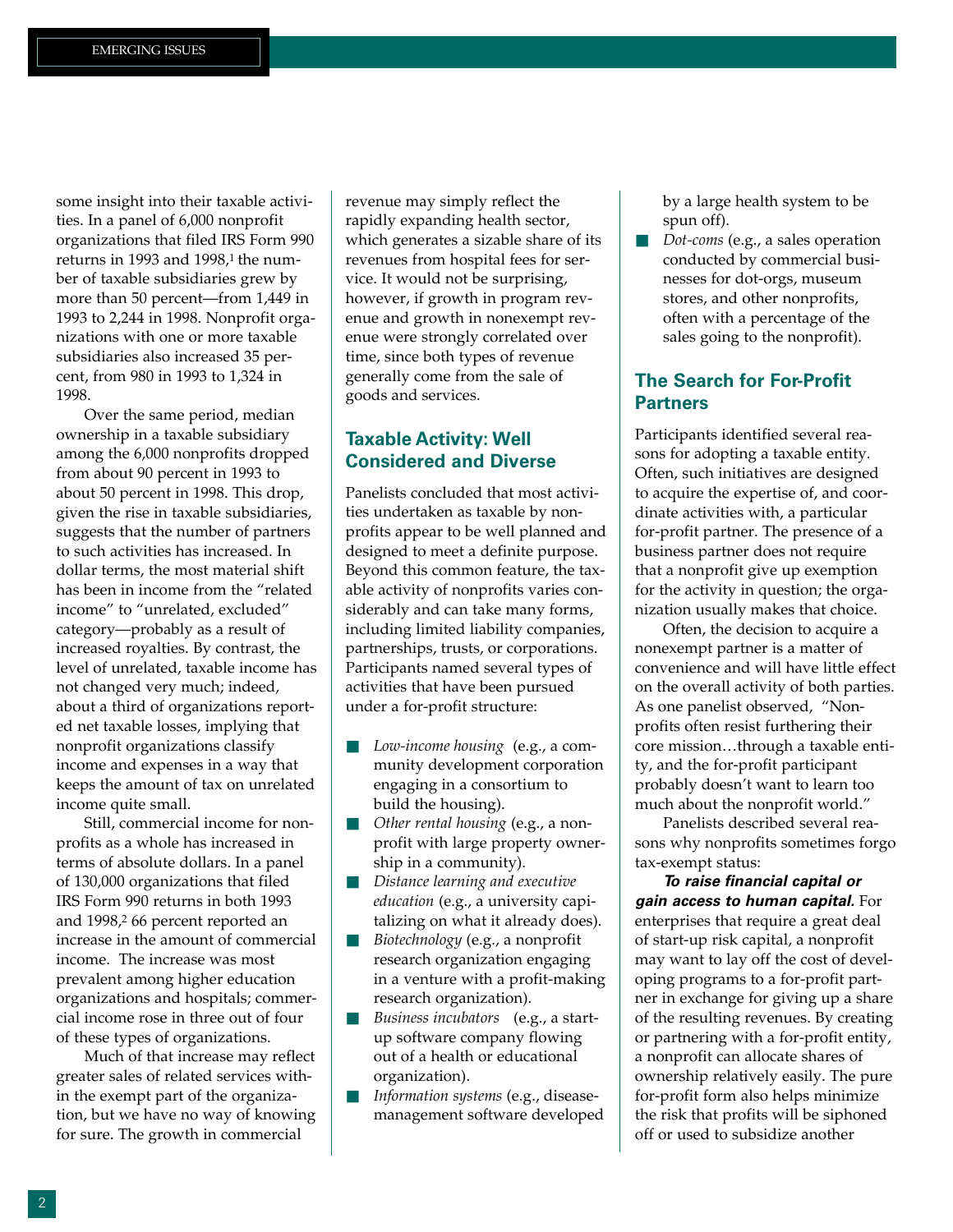some insight into their taxable activities. In a panel of 6,000 nonprofit organizations that filed IRS Form 990 returns in 1993 and 1998,<sup>1</sup> the number of taxable subsidiaries grew by more than 50 percent—from 1,449 in 1993 to 2,244 in 1998. Nonprofit organizations with one or more taxable subsidiaries also increased 35 percent, from 980 in 1993 to 1,324 in 1998.

Over the same period, median ownership in a taxable subsidiary among the 6,000 nonprofits dropped from about 90 percent in 1993 to about 50 percent in 1998. This drop, given the rise in taxable subsidiaries, suggests that the number of partners to such activities has increased. In dollar terms, the most material shift has been in income from the "related income" to "unrelated, excluded" category—probably as a result of increased royalties. By contrast, the level of unrelated, taxable income has not changed very much; indeed, about a third of organizations reported net taxable losses, implying that nonprofit organizations classify income and expenses in a way that keeps the amount of tax on unrelated income quite small.

Still, commercial income for nonprofits as a whole has increased in terms of absolute dollars. In a panel of 130,000 organizations that filed IRS Form 990 returns in both 1993 and 1998,<sup>2</sup> 66 percent reported an increase in the amount of commercial income. The increase was most prevalent among higher education organizations and hospitals; commercial income rose in three out of four of these types of organizations.

Much of that increase may reflect greater sales of related services within the exempt part of the organization, but we have no way of knowing for sure. The growth in commercial

revenue may simply reflect the rapidly expanding health sector, which generates a sizable share of its revenues from hospital fees for service. It would not be surprising, however, if growth in program revenue and growth in nonexempt revenue were strongly correlated over time, since both types of revenue generally come from the sale of goods and services.

#### **Taxable Activity: Well Considered and Diverse**

Panelists concluded that most activities undertaken as taxable by nonprofits appear to be well planned and designed to meet a definite purpose. Beyond this common feature, the taxable activity of nonprofits varies considerably and can take many forms, including limited liability companies, partnerships, trusts, or corporations. Participants named several types of activities that have been pursued under a for-profit structure:

- *Low-income housing* (e.g., a community development corporation engaging in a consortium to build the housing).
- *Other rental housing* (e.g., a nonprofit with large property ownership in a community).
- *Distance learning and executive education* (e.g., a university capitalizing on what it already does).
- *Biotechnology* (e.g., a nonprofit research organization engaging in a venture with a profit-making research organization).
- *Business incubators* (e.g., a startup software company flowing out of a health or educational organization).
- *Information systems* (e.g., diseasemanagement software developed

by a large health system to be spun off).

■ *Dot-coms* (e.g., a sales operation conducted by commercial businesses for dot-orgs, museum stores, and other nonprofits, often with a percentage of the sales going to the nonprofit).

#### **The Search for For-Profit Partners**

Participants identified several reasons for adopting a taxable entity. Often, such initiatives are designed to acquire the expertise of, and coordinate activities with, a particular for-profit partner. The presence of a business partner does not require that a nonprofit give up exemption for the activity in question; the organization usually makes that choice.

Often, the decision to acquire a nonexempt partner is a matter of convenience and will have little effect on the overall activity of both parties. As one panelist observed, "Nonprofits often resist furthering their core mission…through a taxable entity, and the for-profit participant probably doesn't want to learn too much about the nonprofit world."

Panelists described several reasons why nonprofits sometimes forgo tax-exempt status:

*To raise financial capital or gain access to human capital.* For enterprises that require a great deal of start-up risk capital, a nonprofit may want to lay off the cost of developing programs to a for-profit partner in exchange for giving up a share of the resulting revenues. By creating or partnering with a for-profit entity, a nonprofit can allocate shares of ownership relatively easily. The pure for-profit form also helps minimize the risk that profits will be siphoned off or used to subsidize another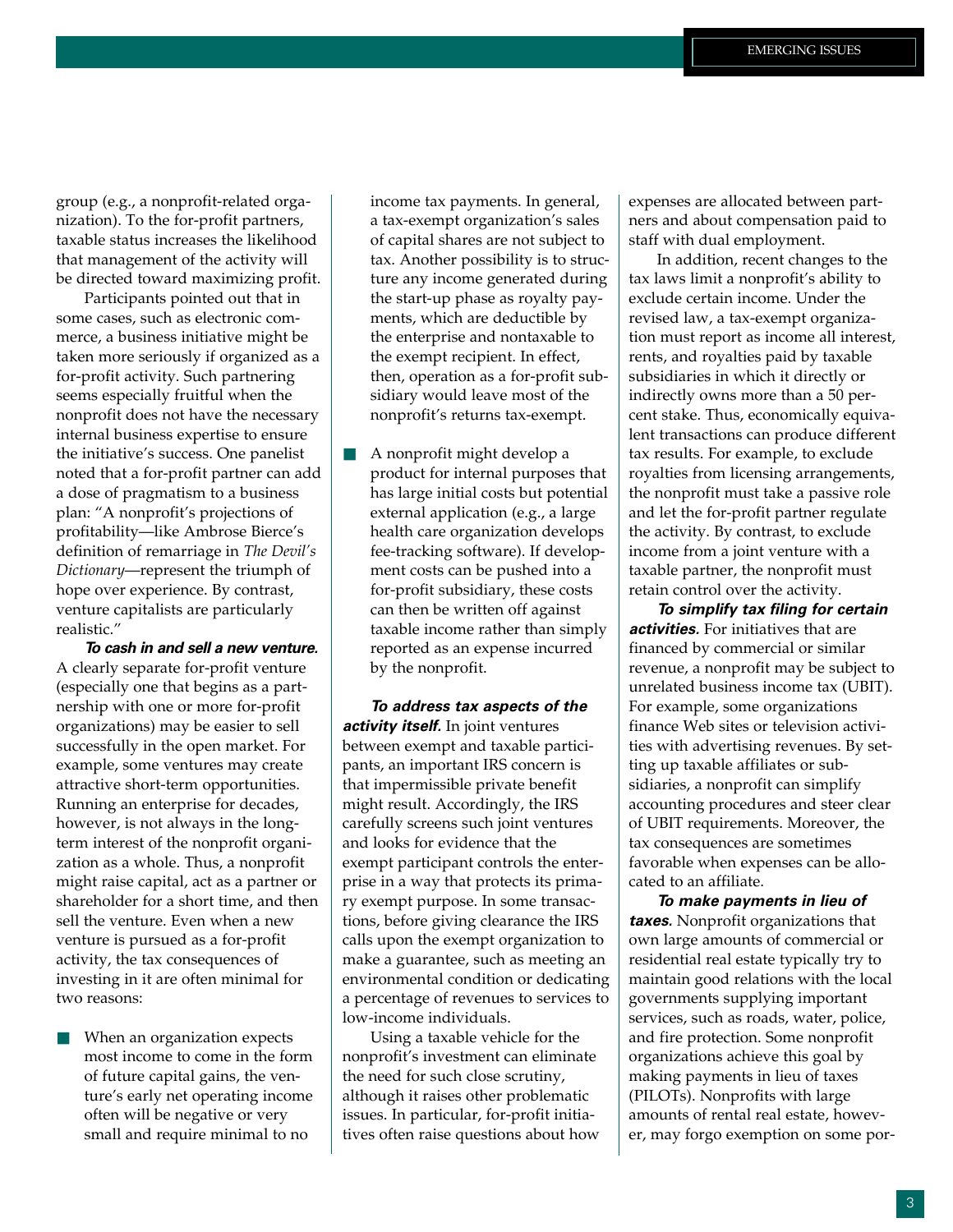group (e.g., a nonprofit-related organization). To the for-profit partners, taxable status increases the likelihood that management of the activity will be directed toward maximizing profit.

Participants pointed out that in some cases, such as electronic commerce, a business initiative might be taken more seriously if organized as a for-profit activity. Such partnering seems especially fruitful when the nonprofit does not have the necessary internal business expertise to ensure the initiative's success. One panelist noted that a for-profit partner can add a dose of pragmatism to a business plan: "A nonprofit's projections of profitability—like Ambrose Bierce's definition of remarriage in *The Devil's Dictionary*—represent the triumph of hope over experience. By contrast, venture capitalists are particularly realistic."

*To cash in and sell a new venture.* A clearly separate for-profit venture (especially one that begins as a partnership with one or more for-profit organizations) may be easier to sell successfully in the open market. For example, some ventures may create attractive short-term opportunities. Running an enterprise for decades, however, is not always in the longterm interest of the nonprofit organization as a whole. Thus, a nonprofit might raise capital, act as a partner or shareholder for a short time, and then sell the venture. Even when a new venture is pursued as a for-profit activity, the tax consequences of investing in it are often minimal for two reasons:

When an organization expects most income to come in the form of future capital gains, the venture's early net operating income often will be negative or very small and require minimal to no

income tax payments. In general, a tax-exempt organization's sales of capital shares are not subject to tax. Another possibility is to structure any income generated during the start-up phase as royalty payments, which are deductible by the enterprise and nontaxable to the exempt recipient. In effect, then, operation as a for-profit subsidiary would leave most of the nonprofit's returns tax-exempt.

■ A nonprofit might develop a product for internal purposes that has large initial costs but potential external application (e.g., a large health care organization develops fee-tracking software). If development costs can be pushed into a for-profit subsidiary, these costs can then be written off against taxable income rather than simply reported as an expense incurred by the nonprofit.

*To address tax aspects of the activity itself.* In joint ventures between exempt and taxable participants, an important IRS concern is that impermissible private benefit might result. Accordingly, the IRS carefully screens such joint ventures and looks for evidence that the exempt participant controls the enterprise in a way that protects its primary exempt purpose. In some transactions, before giving clearance the IRS calls upon the exempt organization to make a guarantee, such as meeting an environmental condition or dedicating a percentage of revenues to services to low-income individuals.

Using a taxable vehicle for the nonprofit's investment can eliminate the need for such close scrutiny, although it raises other problematic issues. In particular, for-profit initiatives often raise questions about how expenses are allocated between partners and about compensation paid to staff with dual employment.

In addition, recent changes to the tax laws limit a nonprofit's ability to exclude certain income. Under the revised law, a tax-exempt organization must report as income all interest, rents, and royalties paid by taxable subsidiaries in which it directly or indirectly owns more than a 50 percent stake. Thus, economically equivalent transactions can produce different tax results. For example, to exclude royalties from licensing arrangements, the nonprofit must take a passive role and let the for-profit partner regulate the activity. By contrast, to exclude income from a joint venture with a taxable partner, the nonprofit must retain control over the activity.

*To simplify tax filing for certain activities.* For initiatives that are financed by commercial or similar revenue, a nonprofit may be subject to unrelated business income tax (UBIT). For example, some organizations finance Web sites or television activities with advertising revenues. By setting up taxable affiliates or subsidiaries, a nonprofit can simplify accounting procedures and steer clear of UBIT requirements. Moreover, the tax consequences are sometimes favorable when expenses can be allocated to an affiliate.

*To make payments in lieu of taxes.* Nonprofit organizations that own large amounts of commercial or residential real estate typically try to maintain good relations with the local governments supplying important services, such as roads, water, police, and fire protection. Some nonprofit organizations achieve this goal by making payments in lieu of taxes (PILOTs). Nonprofits with large amounts of rental real estate, however, may forgo exemption on some por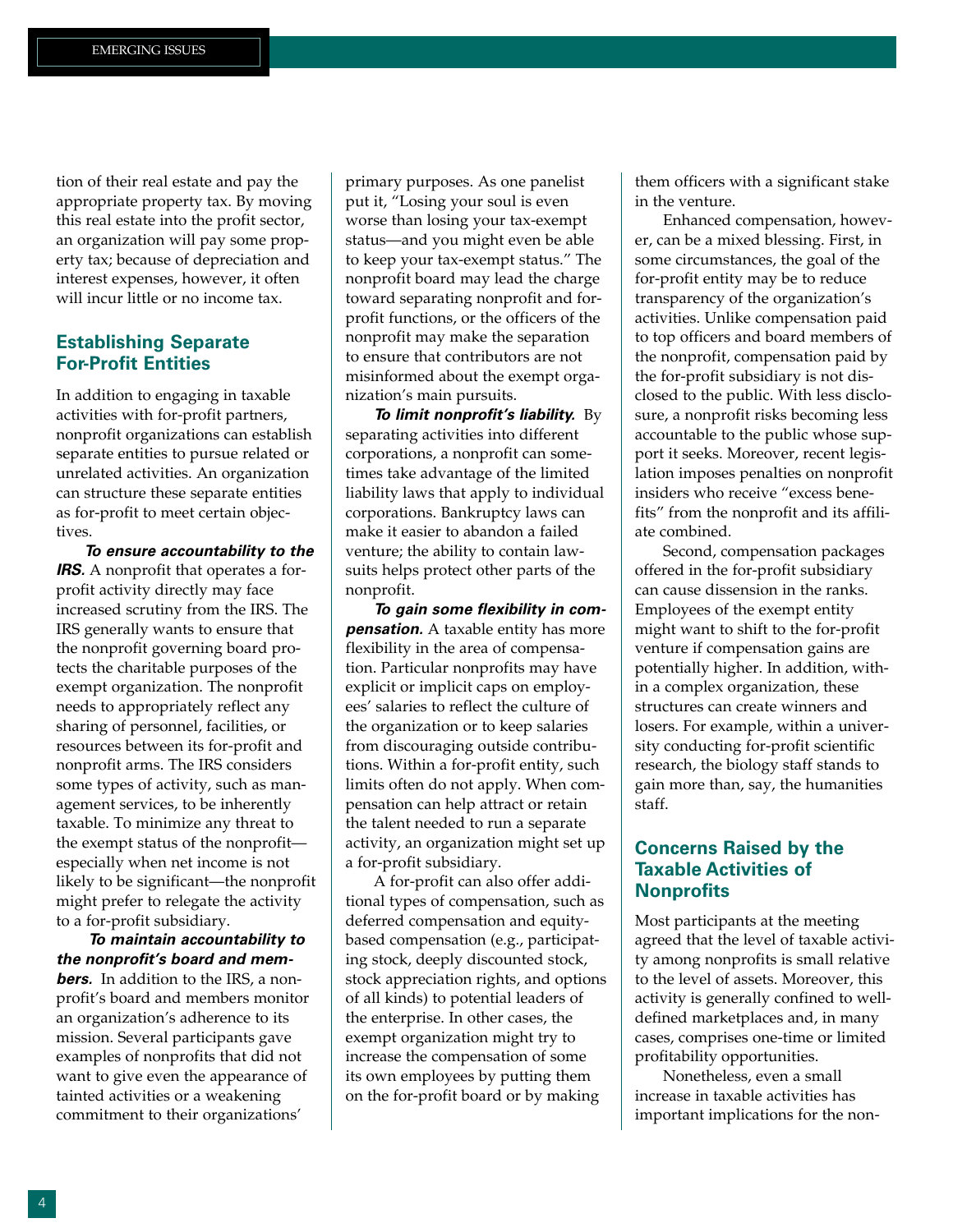tion of their real estate and pay the appropriate property tax. By moving this real estate into the profit sector, an organization will pay some property tax; because of depreciation and interest expenses, however, it often will incur little or no income tax.

#### **Establishing Separate For-Profit Entities**

In addition to engaging in taxable activities with for-profit partners, nonprofit organizations can establish separate entities to pursue related or unrelated activities. An organization can structure these separate entities as for-profit to meet certain objectives.

*To ensure accountability to the IRS.* A nonprofit that operates a forprofit activity directly may face increased scrutiny from the IRS. The IRS generally wants to ensure that the nonprofit governing board protects the charitable purposes of the exempt organization. The nonprofit needs to appropriately reflect any sharing of personnel, facilities, or resources between its for-profit and nonprofit arms. The IRS considers some types of activity, such as management services, to be inherently taxable. To minimize any threat to the exempt status of the nonprofit especially when net income is not likely to be significant—the nonprofit might prefer to relegate the activity to a for-profit subsidiary.

*To maintain accountability to the nonprofit's board and members.* In addition to the IRS, a nonprofit's board and members monitor an organization's adherence to its mission. Several participants gave examples of nonprofits that did not want to give even the appearance of tainted activities or a weakening commitment to their organizations'

primary purposes. As one panelist put it, "Losing your soul is even worse than losing your tax-exempt status—and you might even be able to keep your tax-exempt status." The nonprofit board may lead the charge toward separating nonprofit and forprofit functions, or the officers of the nonprofit may make the separation to ensure that contributors are not misinformed about the exempt organization's main pursuits.

*To limit nonprofit's liability.* By separating activities into different corporations, a nonprofit can sometimes take advantage of the limited liability laws that apply to individual corporations. Bankruptcy laws can make it easier to abandon a failed venture; the ability to contain lawsuits helps protect other parts of the nonprofit.

*To gain some flexibility in compensation.* A taxable entity has more flexibility in the area of compensation. Particular nonprofits may have explicit or implicit caps on employees' salaries to reflect the culture of the organization or to keep salaries from discouraging outside contributions. Within a for-profit entity, such limits often do not apply. When compensation can help attract or retain the talent needed to run a separate activity, an organization might set up a for-profit subsidiary.

A for-profit can also offer additional types of compensation, such as deferred compensation and equitybased compensation (e.g., participating stock, deeply discounted stock, stock appreciation rights, and options of all kinds) to potential leaders of the enterprise. In other cases, the exempt organization might try to increase the compensation of some its own employees by putting them on the for-profit board or by making

them officers with a significant stake in the venture.

Enhanced compensation, however, can be a mixed blessing. First, in some circumstances, the goal of the for-profit entity may be to reduce transparency of the organization's activities. Unlike compensation paid to top officers and board members of the nonprofit, compensation paid by the for-profit subsidiary is not disclosed to the public. With less disclosure, a nonprofit risks becoming less accountable to the public whose support it seeks. Moreover, recent legislation imposes penalties on nonprofit insiders who receive "excess benefits" from the nonprofit and its affiliate combined.

Second, compensation packages offered in the for-profit subsidiary can cause dissension in the ranks. Employees of the exempt entity might want to shift to the for-profit venture if compensation gains are potentially higher. In addition, within a complex organization, these structures can create winners and losers. For example, within a university conducting for-profit scientific research, the biology staff stands to gain more than, say, the humanities staff.

#### **Concerns Raised by the Taxable Activities of Nonprofits**

Most participants at the meeting agreed that the level of taxable activity among nonprofits is small relative to the level of assets. Moreover, this activity is generally confined to welldefined marketplaces and, in many cases, comprises one-time or limited profitability opportunities.

Nonetheless, even a small increase in taxable activities has important implications for the non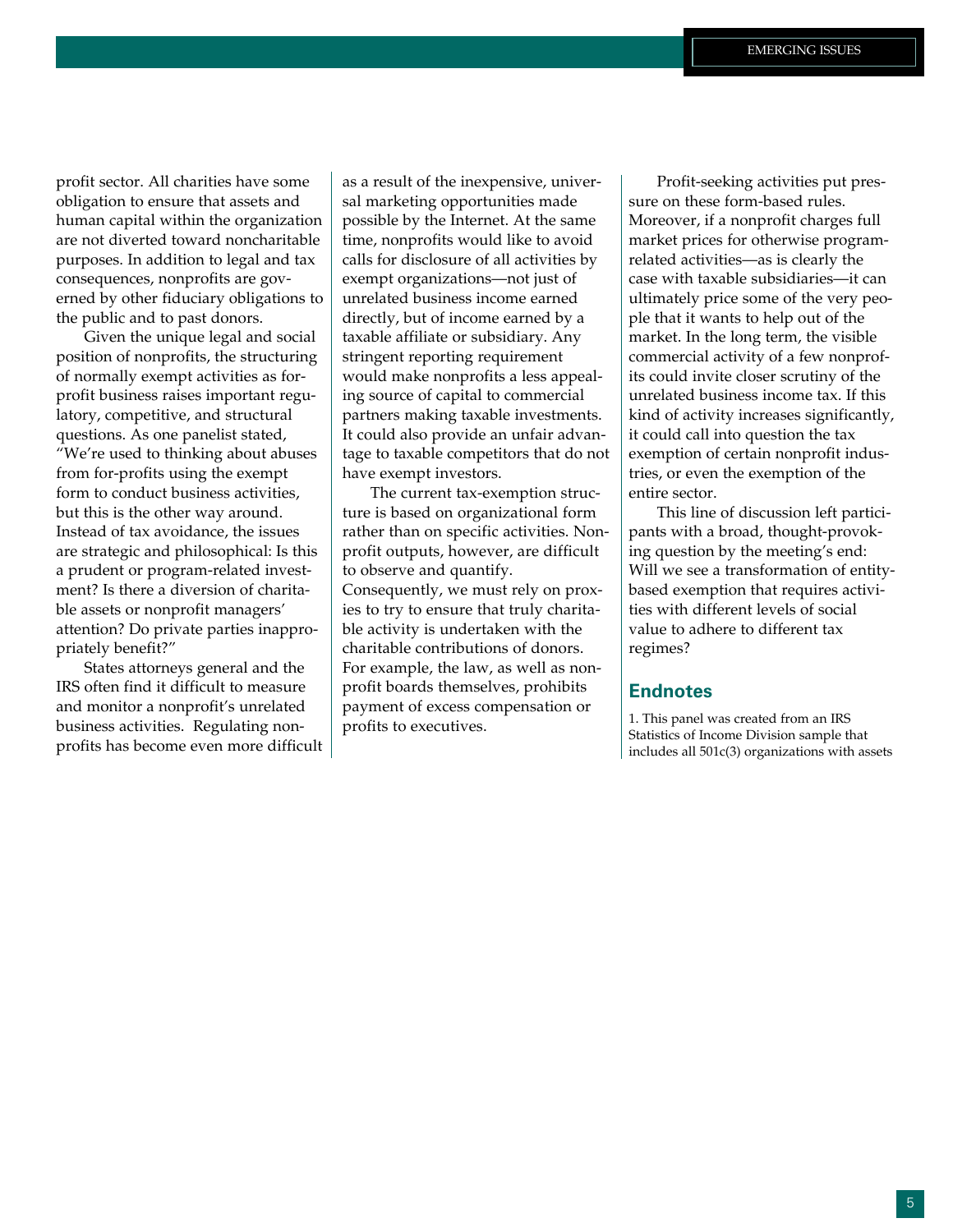profit sector. All charities have some obligation to ensure that assets and human capital within the organization are not diverted toward noncharitable purposes. In addition to legal and tax consequences, nonprofits are governed by other fiduciary obligations to the public and to past donors.

Given the unique legal and social position of nonprofits, the structuring of normally exempt activities as forprofit business raises important regulatory, competitive, and structural questions. As one panelist stated, "We're used to thinking about abuses from for-profits using the exempt form to conduct business activities, but this is the other way around. Instead of tax avoidance, the issues are strategic and philosophical: Is this a prudent or program-related investment? Is there a diversion of charitable assets or nonprofit managers' attention? Do private parties inappropriately benefit?"

States attorneys general and the IRS often find it difficult to measure and monitor a nonprofit's unrelated business activities. Regulating nonprofits has become even more difficult

as a result of the inexpensive, universal marketing opportunities made possible by the Internet. At the same time, nonprofits would like to avoid calls for disclosure of all activities by exempt organizations—not just of unrelated business income earned directly, but of income earned by a taxable affiliate or subsidiary. Any stringent reporting requirement would make nonprofits a less appealing source of capital to commercial partners making taxable investments. It could also provide an unfair advantage to taxable competitors that do not have exempt investors.

The current tax-exemption structure is based on organizational form rather than on specific activities. Nonprofit outputs, however, are difficult to observe and quantify. Consequently, we must rely on proxies to try to ensure that truly charitable activity is undertaken with the charitable contributions of donors. For example, the law, as well as nonprofit boards themselves, prohibits payment of excess compensation or profits to executives.

Profit-seeking activities put pressure on these form-based rules. Moreover, if a nonprofit charges full market prices for otherwise programrelated activities—as is clearly the case with taxable subsidiaries—it can ultimately price some of the very people that it wants to help out of the market. In the long term, the visible commercial activity of a few nonprofits could invite closer scrutiny of the unrelated business income tax. If this kind of activity increases significantly, it could call into question the tax exemption of certain nonprofit industries, or even the exemption of the entire sector.

This line of discussion left participants with a broad, thought-provoking question by the meeting's end: Will we see a transformation of entitybased exemption that requires activities with different levels of social value to adhere to different tax regimes?

#### **Endnotes**

1. This panel was created from an IRS Statistics of Income Division sample that includes all 501c(3) organizations with assets